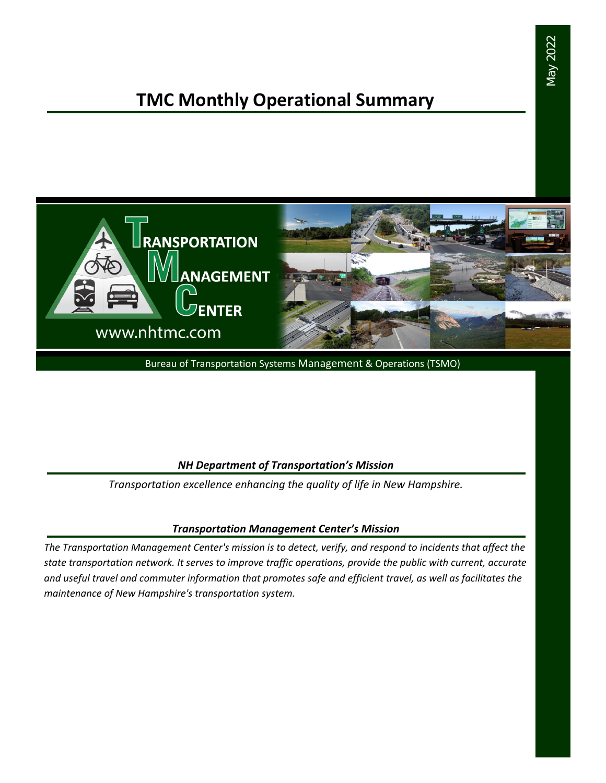# **TMC Monthly Operational Summary**



Bureau of Transportation Systems Management & Operations (TSMO)

### *NH Department of Transportation's Mission*

*Transportation excellence enhancing the quality of life in New Hampshire.*

### *Transportation Management Center's Mission*

*The Transportation Management Center's mission is to detect, verify, and respond to incidents that affect the state transportation network. It serves to improve traffic operations, provide the public with current, accurate and useful travel and commuter information that promotes safe and efficient travel, as well as facilitates the maintenance of New Hampshire's transportation system.*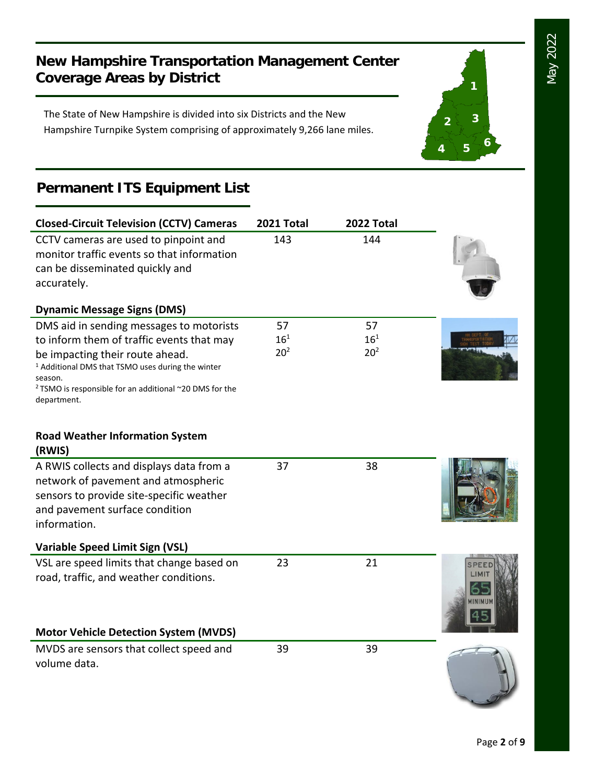**1**

**2 3**

**<sup>4</sup> <sup>5</sup> <sup>6</sup>**

## **New Hampshire Transportation Management Center Coverage Areas by District**

The State of New Hampshire is divided into six Districts and the New Hampshire Turnpike System comprising of approximately 9,266 lane miles.

## **Permanent ITS Equipment List**

| <b>Closed-Circuit Television (CCTV) Cameras</b>                                                                                                                                                 | 2021 Total      | 2022 Total      |               |
|-------------------------------------------------------------------------------------------------------------------------------------------------------------------------------------------------|-----------------|-----------------|---------------|
| CCTV cameras are used to pinpoint and<br>monitor traffic events so that information<br>can be disseminated quickly and<br>accurately.                                                           | 143             | 144             |               |
|                                                                                                                                                                                                 |                 |                 |               |
| <b>Dynamic Message Signs (DMS)</b>                                                                                                                                                              |                 |                 |               |
| DMS aid in sending messages to motorists                                                                                                                                                        | 57              | 57              |               |
| to inform them of traffic events that may                                                                                                                                                       | $16^{1}$        | $16^{1}$        |               |
| be impacting their route ahead.<br><sup>1</sup> Additional DMS that TSMO uses during the winter<br>season.<br><sup>2</sup> TSMO is responsible for an additional ~20 DMS for the<br>department. | 20 <sup>2</sup> | 20 <sup>2</sup> |               |
| <b>Road Weather Information System</b><br>(RWIS)                                                                                                                                                |                 |                 |               |
| A RWIS collects and displays data from a                                                                                                                                                        | 37              | 38              |               |
| network of pavement and atmospheric                                                                                                                                                             |                 |                 |               |
| sensors to provide site-specific weather                                                                                                                                                        |                 |                 |               |
| and pavement surface condition                                                                                                                                                                  |                 |                 |               |
| information.                                                                                                                                                                                    |                 |                 |               |
| <b>Variable Speed Limit Sign (VSL)</b>                                                                                                                                                          |                 |                 |               |
| VSL are speed limits that change based on                                                                                                                                                       | 23              | 21              |               |
| road, traffic, and weather conditions.                                                                                                                                                          |                 |                 | <b>INIMUM</b> |
| <b>Motor Vehicle Detection System (MVDS)</b>                                                                                                                                                    |                 |                 |               |
| MVDS are sensors that collect speed and<br>volume data.                                                                                                                                         | 39              | 39              |               |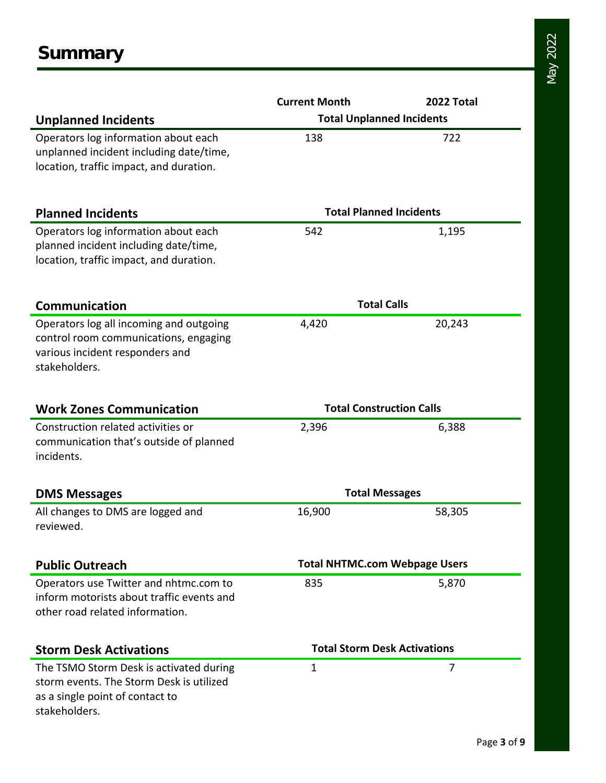|                                                  | <b>Current Month</b>                 | 2022 Total |  |  |
|--------------------------------------------------|--------------------------------------|------------|--|--|
| <b>Unplanned Incidents</b>                       | <b>Total Unplanned Incidents</b>     |            |  |  |
| Operators log information about each             | 138                                  | 722        |  |  |
| unplanned incident including date/time,          |                                      |            |  |  |
| location, traffic impact, and duration.          |                                      |            |  |  |
|                                                  |                                      |            |  |  |
| <b>Planned Incidents</b>                         | <b>Total Planned Incidents</b>       |            |  |  |
| Operators log information about each             | 542                                  | 1,195      |  |  |
| planned incident including date/time,            |                                      |            |  |  |
| location, traffic impact, and duration.          |                                      |            |  |  |
| <b>Communication</b>                             | <b>Total Calls</b>                   |            |  |  |
| Operators log all incoming and outgoing          | 4,420                                | 20,243     |  |  |
| control room communications, engaging            |                                      |            |  |  |
| various incident responders and                  |                                      |            |  |  |
| stakeholders.                                    |                                      |            |  |  |
|                                                  |                                      |            |  |  |
| <b>Work Zones Communication</b>                  | <b>Total Construction Calls</b>      |            |  |  |
| Construction related activities or               | 2,396                                | 6,388      |  |  |
| communication that's outside of planned          |                                      |            |  |  |
| incidents.                                       |                                      |            |  |  |
| <b>DMS Messages</b>                              | <b>Total Messages</b>                |            |  |  |
| All changes to DMS are logged and                | 16,900                               | 58,305     |  |  |
| reviewed.                                        |                                      |            |  |  |
| <b>Public Outreach</b>                           | <b>Total NHTMC.com Webpage Users</b> |            |  |  |
| Operators use Twitter and nhtmc.com to           | 835                                  | 5,870      |  |  |
| inform motorists about traffic events and        |                                      |            |  |  |
| other road related information.                  |                                      |            |  |  |
|                                                  | <b>Total Storm Desk Activations</b>  |            |  |  |
| <b>Storm Desk Activations</b>                    |                                      |            |  |  |
| The TSMO Storm Desk is activated during          | 1                                    | 7          |  |  |
| storm events. The Storm Desk is utilized         |                                      |            |  |  |
| as a single point of contact to<br>stakeholders. |                                      |            |  |  |
|                                                  |                                      |            |  |  |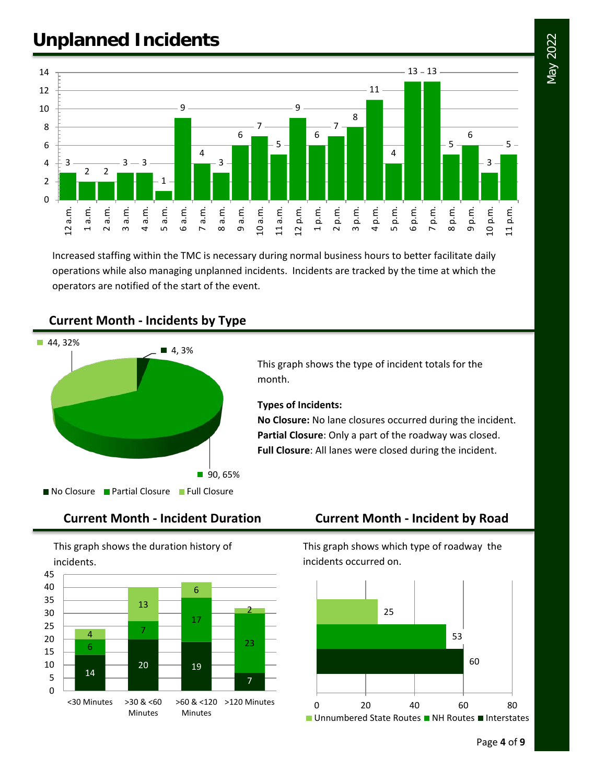# **Unplanned Incidents**



Increased staffing within the TMC is necessary during normal business hours to better facilitate daily operations while also managing unplanned incidents. Incidents are tracked by the time at which the operators are notified of the start of the event.



### **Current Month - Incidents by Type**



This graph shows the duration history of incidents.



This graph shows which type of roadway the incidents occurred on.

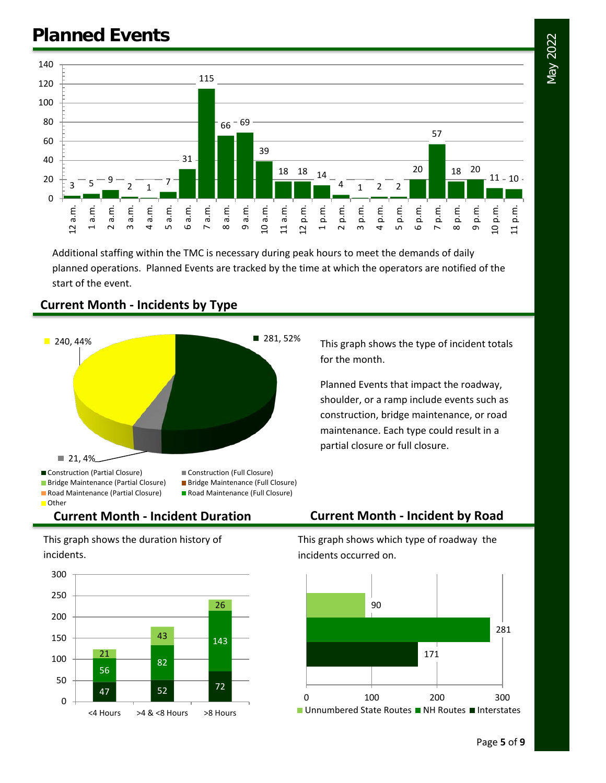



Additional staffing within the TMC is necessary during peak hours to meet the demands of daily planned operations. Planned Events are tracked by the time at which the operators are notified of the start of the event.



## **Current Month - Incidents by Type**

This graph shows the type of incident totals for the month.

Planned Events that impact the roadway, shoulder, or a ramp include events such as construction, bridge maintenance, or road maintenance. Each type could result in a partial closure or full closure.

**Current Month - Incident Duration Current Month - Incident by Road** 

This graph shows the duration history of incidents.



This graph shows which type of roadway the incidents occurred on.

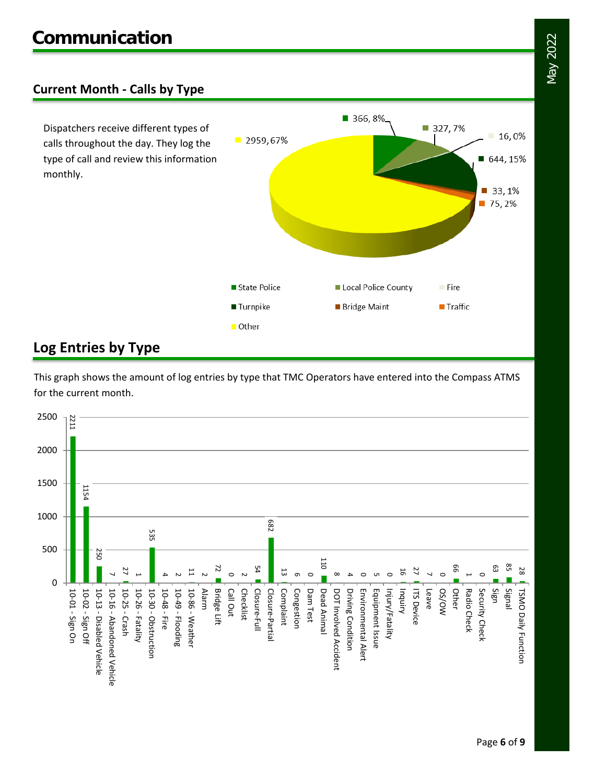## **Current Month - Calls by Type**

Dispatchers receive different types of calls throughout the day. They log the type of call and review this information monthly.



## **Log Entries by Type**

This graph shows the amount of log entries by type that TMC Operators have entered into the Compass ATMS for the current month.

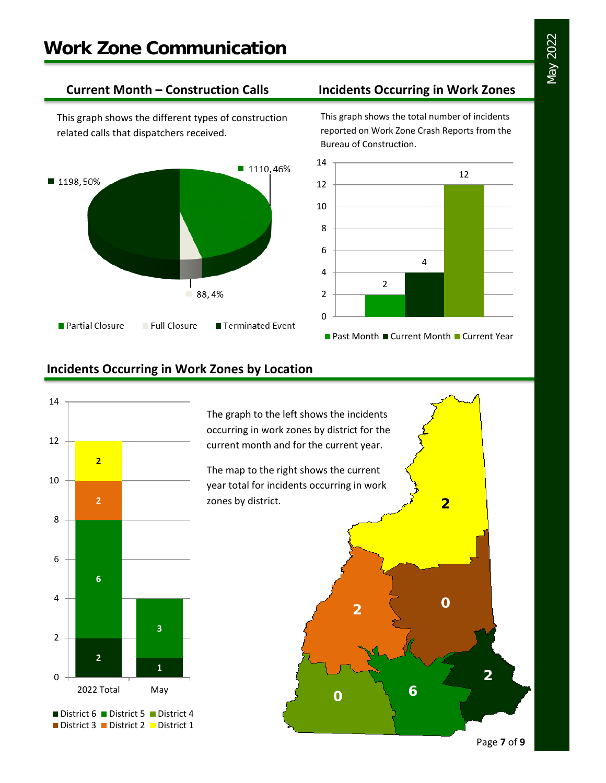This graph shows the different types of construction related calls that dispatchers received.



### **Current Month – Construction Calls Incidents Occurring in Work Zones**

This graph shows the total number of incidents reported on Work Zone Crash Reports from the Bureau of Construction.



## **Incidents Occurring in Work Zones by Location**



The graph to the left shows the incidents occurring in work zones by district for the current month and for the current year.

The map to the right shows the current year total for incidents occurring in work zones by district.

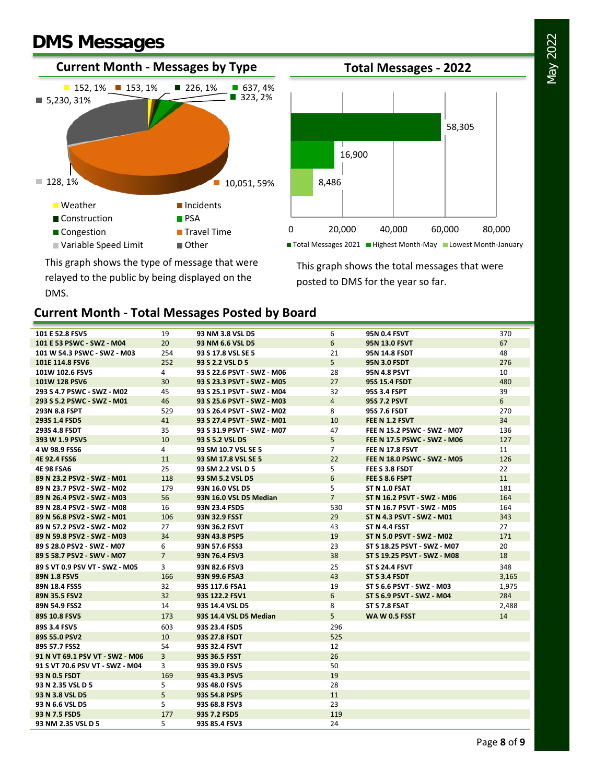# **DMS Messages**





This graph shows the type of message that were relayed to the public by being displayed on the DMS.

This graph shows the total messages that were posted to DMS for the year so far.

## **Current Month - Total Messages Posted by Board**

| 101 E 52.8 FSV5                 | 19             | 93 NM 3.8 VSL D5           | 6              | <b>95N 0.4 FSVT</b>                | 370   |
|---------------------------------|----------------|----------------------------|----------------|------------------------------------|-------|
| 101 E 53 PSWC - SWZ - M04       | 20             | 93 NM 6.6 VSL D5           | 6              | <b>95N 13.0 FSVT</b>               | 67    |
| 101 W 54.3 PSWC - SWZ - M03     | 254            | 93 S 17.8 VSL SE 5         | 21             | <b>95N 14.8 FSDT</b>               | 48    |
| 101E 114.8 FSV6                 | 252            | 93 S 2.2 VSL D 5           | 5              | <b>95N 3.0 FSDT</b>                | 276   |
| 101W 102.6 FSV5                 | $\overline{4}$ | 93 S 22.6 PSVT - SWZ - M06 | 28             | <b>95N 4.8 PSVT</b>                | 10    |
| 101W 128 PSV6                   | 30             | 93 S 23.3 PSVT - SWZ - M05 | 27             | <b>95S 15.4 FSDT</b>               | 480   |
| 293 S 4.7 PSWC - SWZ - M02      | 45             | 93 S 25.1 PSVT - SWZ - M04 | 32             | 95S 3.4 FSPT                       | 39    |
| 293 S 5.2 PSWC - SWZ - M01      | 46             | 93 S 25.6 PSVT - SWZ - M03 | $\overline{4}$ | <b>95S 7.2 PSVT</b>                | 6     |
| 293N 8.8 FSPT                   | 529            | 93 S 26.4 PSVT - SWZ - M02 | 8              | 95S 7.6 FSDT                       | 270   |
| 293S 1.4 FSD5                   | 41             | 93 S 27.4 PSVT - SWZ - M01 | 10             | FEE N 1.2 FSVT                     | 34    |
| 293S 4.8 FSDT                   | 35             | 93 S 31.9 PSVT - SWZ - M07 | 47             | FEE N 15.2 PSWC - SWZ - M07        | 136   |
| 393 W 1.9 PSV5                  | 10             | 93 S 5.2 VSL D5            | 5              | <b>FEE N 17.5 PSWC - SWZ - M06</b> | 127   |
| 4 W 98.9 FSS6                   | 4              | 93 SM 10.7 VSL SE 5        | $\overline{7}$ | FEE N 17.8 FSVT                    | 11    |
| 4E 92.4 FSS6                    | 11             | 93 SM 17.8 VSL SE 5        | 22             | FEE N 18.0 PSWC - SWZ - M05        | 126   |
| <b>4E 98 FSA6</b>               | 25             | 93 SM 2.2 VSL D 5          | 5              | FEE S 3.8 FSDT                     | 22    |
| 89 N 23.2 PSV2 - SWZ - M01      | 118            | 93 SM 5.2 VSL D5           | 6              | FEE S 8.6 FSPT                     | 11    |
| 89 N 23.7 PSV2 - SWZ - M02      | 179            | 93N 16.0 VSL D5            | 5              | ST N 1.0 FSAT                      | 181   |
| 89 N 26.4 PSV2 - SWZ - M03      | 56             | 93N 16.0 VSL D5 Median     | $\overline{7}$ | ST N 16.2 PSVT - SWZ - M06         | 164   |
| 89 N 28.4 PSV2 - SWZ - M08      | 16             | 93N 23.4 FSD5              | 530            | ST N 16.7 PSVT - SWZ - M05         | 164   |
| 89 N 56.8 PSV2 - SWZ - M01      | 106            | 93N 32.9 FSST              | 29             | ST N 4.3 PSVT - SWZ - M01          | 343   |
| 89 N 57.2 PSV2 - SWZ - M02      | 27             | 93N 36.2 FSVT              | 43             | ST N 4.4 FSST                      | 27    |
| 89 N 59.8 PSV2 - SWZ - M03      | 34             | 93N 43.8 PSP5              | 19             | ST N 5.0 PSVT - SWZ - M02          | 171   |
| 89 S 28.0 PSV2 - SWZ - M07      | 6              | 93N 57.6 FSS3              | 23             | ST S 18.25 PSVT - SWZ - M07        | 20    |
| 89 S 58.7 PSV2 - SWV - M07      | $\overline{7}$ | 93N 76.4 FSV3              | 38             | ST S 19.25 PSVT - SWZ - M08        | 18    |
| 89 S VT 0.9 PSV VT - SWZ - M05  | 3              | 93N 82.6 FSV3              | 25             | <b>ST S 24.4 FSVT</b>              | 348   |
| 89N 1.8 FSV5                    | 166            | 93N 99.6 FSA3              | 43             | ST S 3.4 FSDT                      | 3,165 |
| 89N 18.4 FSS5                   | 32             | 93S 117.6 FSA1             | 19             | ST S 6.6 PSVT - SWZ - M03          | 1,975 |
| 89N 35.5 FSV2                   | 32             | 93S 122.2 FSV1             | 6              | ST S 6.9 PSVT - SWZ - M04          | 284   |
| 89N 54.9 FSS2                   | 14             | 93S 14.4 VSL D5            | 8              | ST S 7.8 FSAT                      | 2,488 |
| 89S 10.8 FSV5                   | 173            | 93S 14.4 VSL D5 Median     | 5              | <b>WA W 0.5 FSST</b>               | 14    |
| 89S 3.4 FSV5                    | 603            | 93S 23.4 FSD5              | 296            |                                    |       |
| 89S 55.0 PSV2                   | 10             | 93S 27.8 FSDT              | 525            |                                    |       |
| 89S 57.7 FSS2                   | 54             | 93S 32.4 FSVT              | 12             |                                    |       |
| 91 N VT 69.1 PSV VT - SWZ - M06 | 3              | 93S 36.5 FSST              | 26             |                                    |       |
| 91 S VT 70.6 PSV VT - SWZ - M04 | 3              | 93S 39.0 FSV5              | 50             |                                    |       |
| 93 N 0.5 FSDT                   | 169            | 93S 43.3 PSV5              | 19             |                                    |       |
| 93 N 2.35 VSL D 5               | 5              | 93S 48.0 FSV5              | 28             |                                    |       |
| 93 N 3.8 VSL D5                 | 5              | 93S 54.8 PSP5              | 11             |                                    |       |
| 93 N 6.6 VSL D5                 | 5.             | 93S 68.8 FSV3              | 23             |                                    |       |
| 93 N 7.5 FSD5                   | 177            | 93S 7.2 FSD5               | 119            |                                    |       |
| 93 NM 2.35 VSL D 5              | 5.             | 93S 85.4 FSV3              | 24             |                                    |       |

May 2022